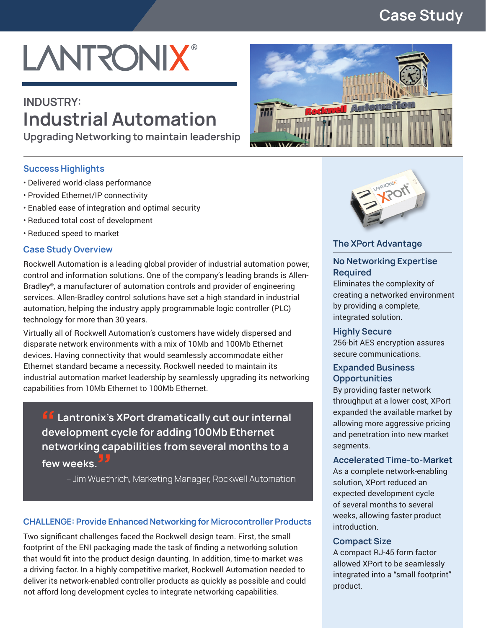### **Case Study**

# **LANTRONIX®**

## **INDUSTRY: Industrial Automation**

**Upgrading Networking to maintain leadership**

#### **Success Highlights**

- Delivered world-class performance
- Provided Ethernet/IP connectivity
- Enabled ease of integration and optimal security
- Reduced total cost of development
- Reduced speed to market

#### **Case Study Overview**

Rockwell Automation is a leading global provider of industrial automation power, control and information solutions. One of the company's leading brands is Allen-Bradley®, a manufacturer of automation controls and provider of engineering services. Allen-Bradley control solutions have set a high standard in industrial automation, helping the industry apply programmable logic controller (PLC) technology for more than 30 years.

Virtually all of Rockwell Automation's customers have widely dispersed and disparate network environments with a mix of 10Mb and 100Mb Ethernet devices. Having connectivity that would seamlessly accommodate either Ethernet standard became a necessity. Rockwell needed to maintain its industrial automation market leadership by seamlessly upgrading its networking capabilities from 10Mb Ethernet to 100Mb Ethernet.

*LE* Lantronix's XPort dramatically cut our internal **development cycle for adding 100Mb Ethernet networking capabilities from several months to a few weeks.** veeks.<br>- Jim Wuethrich, Marketing Manager, Rockwell Automation

#### **CHALLENGE: Provide Enhanced Networking for Microcontroller Products**

Two significant challenges faced the Rockwell design team. First, the small footprint of the ENI packaging made the task of finding a networking solution that would fit into the product design daunting. In addition, time-to-market was a driving factor. In a highly competitive market, Rockwell Automation needed to deliver its network-enabled controller products as quickly as possible and could not afford long development cycles to integrate networking capabilities.





#### **The XPort Advantage**

#### **No Networking Expertise Required**

Eliminates the complexity of creating a networked environment by providing a complete, integrated solution.

#### **Highly Secure**

256-bit AES encryption assures secure communications.

#### **Expanded Business Opportunities**

By providing faster network throughput at a lower cost, XPort expanded the available market by allowing more aggressive pricing and penetration into new market segments.

#### **Accelerated Time-to-Market**

As a complete network-enabling solution, XPort reduced an expected development cycle of several months to several weeks, allowing faster product introduction.

#### **Compact Size**

A compact RJ-45 form factor allowed XPort to be seamlessly integrated into a "small footprint" product.